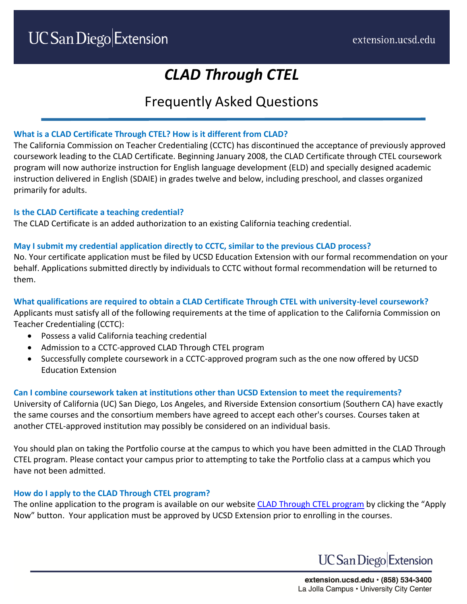# *CLAD Through CTEL*

# Frequently Asked Questions

# **What is a CLAD Certificate Through CTEL? How is it different from CLAD?**

The California Commission on Teacher Credentialing (CCTC) has discontinued the acceptance of previously approved coursework leading to the CLAD Certificate. Beginning January 2008, the CLAD Certificate through CTEL coursework program will now authorize instruction for English language development (ELD) and specially designed academic instruction delivered in English (SDAIE) in grades twelve and below, including preschool, and classes organized primarily for adults.

# **Is the CLAD Certificate a teaching credential?**

The CLAD Certificate is an added authorization to an existing California teaching credential.

# **May I submit my credential application directly to CCTC, similar to the previous CLAD process?**

No. Your certificate application must be filed by UCSD Education Extension with our formal recommendation on your behalf. Applications submitted directly by individuals to CCTC without formal recommendation will be returned to them.

# **What qualifications are required to obtain a CLAD Certificate Through CTEL with university-level coursework?**

Applicants must satisfy all of the following requirements at the time of application to the California Commission on Teacher Credentialing (CCTC):

- Possess a valid California teaching credential
- Admission to a CCTC-approved CLAD Through CTEL program
- Successfully complete coursework in a CCTC-approved program such as the one now offered by UCSD Education Extension

# **Can I combine coursework taken at institutions other than UCSD Extension to meet the requirements?**

University of California (UC) San Diego, Los Angeles, and Riverside Extension consortium (Southern CA) have exactly the same courses and the consortium members have agreed to accept each other's courses. Courses taken at another CTEL-approved institution may possibly be considered on an individual basis.

You should plan on taking the Portfolio course at the campus to which you have been admitted in the CLAD Through CTEL program. Please contact your campus prior to attempting to take the Portfolio class at a campus which you have not been admitted.

# **How do I apply to the CLAD Through CTEL program?**

The online application to the program is available on our website [CLAD Through CTEL program](https://extension.ucsd.edu/courses-and-programs/clad-through-ctel) by clicking the "Apply Now" button. Your application must be approved by UCSD Extension prior to enrolling in the courses.

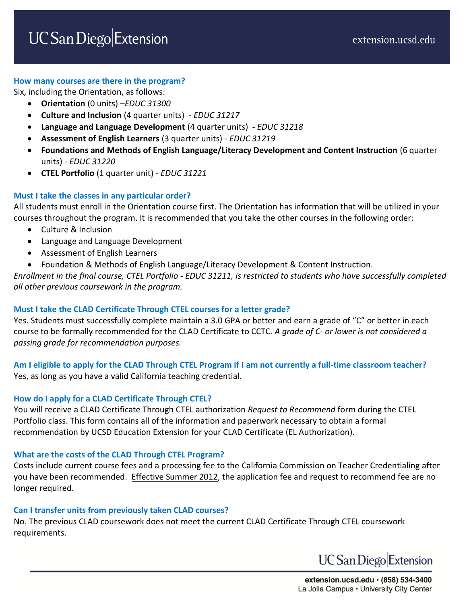#### **How many courses are there in the program?**

Six, including the Orientation, as follows:

- **Orientation** (0 units) –*EDUC 31300*
- **Culture and Inclusion** (4 quarter units) *EDUC 31217*
- **Language and Language Development** (4 quarter units) *EDUC 31218*
- **Assessment of English Learners** (3 quarter units) *EDUC 31219*
- **Foundations and Methods of English Language/Literacy Development and Content Instruction** (6 quarter units) - *EDUC 31220*
- **CTEL Portfolio** (1 quarter unit) *EDUC 31221*

#### **Must I take the classes in any particular order?**

All students must enroll in the Orientation course first. The Orientation has information that will be utilized in your courses throughout the program. It is recommended that you take the other courses in the following order:

- Culture & Inclusion
- Language and Language Development
- Assessment of English Learners
- Foundation & Methods of English Language/Literacy Development & Content Instruction.

*Enrollment in the final course, CTEL Portfolio - EDUC 31211, is restricted to students who have successfully completed all other previous coursework in the program.*

#### **Must I take the CLAD Certificate Through CTEL courses for a letter grade?**

Yes. Students must successfully complete maintain a 3.0 GPA or better and earn a grade of "C" or better in each course to be formally recommended for the CLAD Certificate to CCTC. *A grade of C- or lower is not considered a passing grade for recommendation purposes.*

# **Am I eligible to apply for the CLAD Through CTEL Program if I am not currently a full-time classroom teacher?** Yes, as long as you have a valid California teaching credential.

#### **How do I apply for a CLAD Certificate Through CTEL?**

You will receive a CLAD Certificate Through CTEL authorization *Request to Recommend* form during the CTEL Portfolio class. This form contains all of the information and paperwork necessary to obtain a formal recommendation by UCSD Education Extension for your CLAD Certificate (EL Authorization).

#### **What are the costs of the CLAD Through CTEL Program?**

Costs include current course fees and a processing fee to the California Commission on Teacher Credentialing after you have been recommended. Effective Summer 2012, the application fee and request to recommend fee are no longer required.

#### **Can I transfer units from previously taken CLAD courses?**

No. The previous CLAD coursework does not meet the current CLAD Certificate Through CTEL coursework requirements.



extension.ucsd.edu · (858) 534-3400 La Jolla Campus · University City Center